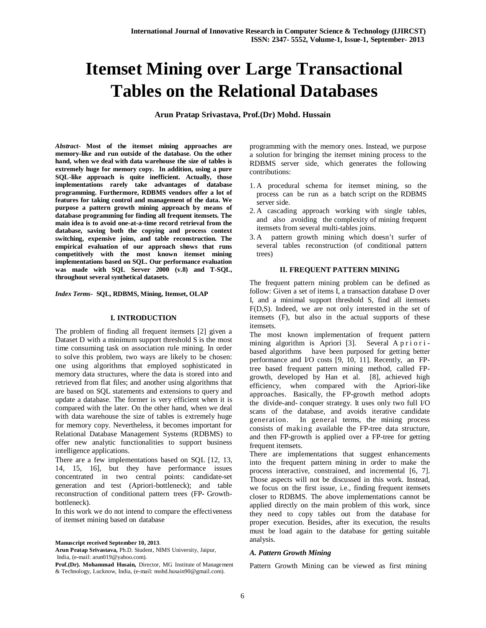# **Itemset Mining over Large Transactional Tables on the Relational Databases**

**Arun Pratap Srivastava, Prof.(Dr) Mohd. Hussain**

*Abstract-* **Most of the itemset mining approaches are memory-like and run outside of the database. On the other hand, when we deal with data warehouse the size of tables is extremely huge for memory copy. In addition, using a pure SQL-like approach is quite inefficient. Actually, those implementations rarely take advantages of database programming. Furthermore, RDBMS vendors offer a lot of features for taking control and management of the data. We purpose a pattern growth mining approach by means of database programming for finding all frequent itemsets. The main idea is to avoid one-at-a-time record retrieval from the database, saving both the copying and process context switching, expensive joins, and table reconstruction. The empirical evaluation of our approach shows that runs competitively with the most known itemset mining implementations based on SQL. Our performance evaluation was made with SQL Server 2000 (v.8) and T-SQL, throughout several synthetical datasets.**

*Index Terms***- SQL, RDBMS, Mining, Itemset, OLAP**

## **I. INTRODUCTION**

The problem of finding all frequent itemsets [2] given a Dataset D with a minimum support threshold S is the most time consuming task on association rule mining. In order to solve this problem, two ways are likely to be chosen: one using algorithms that employed sophisticated in memory data structures, where the data is stored into and retrieved from flat files; and another using algorithms that are based on SQL statements and extensions to query and update a database. The former is very efficient when it is compared with the later. On the other hand, when we deal with data warehouse the size of tables is extremely huge for memory copy. Nevertheless, it becomes important for Relational Database Management Systems (RDBMS) to offer new analytic functionalities to support business intelligence applications.

There are a few implementations based on SQL [12, 13, 14, 15, 16], but they have performance issues concentrated in two central points: candidate-set generation and test (Apriori-bottleneck); and table reconstruction of conditional pattern trees (FP- Growthbottleneck).

In this work we do not intend to compare the effectiveness of itemset mining based on database

**Manuscript received September 10, 2013**.

**Arun Pratap Srivastava,** Ph.D. Student, NIMS University, Jaipur, India, (e-mail: arun019@yahoo.com).

**Prof.(Dr). Mohammad Husain,** Director, MG Institute of Management & Technology, Lucknow, India, (e-mail: mohd.husain90@gmail.com).

programming with the memory ones. Instead, we purpose a solution for bringing the itemset mining process to the RDBMS server side, which generates the following contributions:

- 1. A procedural schema for itemset mining, so the process can be run as a batch script on the RDBMS server side.
- 2. A cascading approach working with single tables, and also avoiding the complexity of mining frequent itemsets from several multi-tables joins.
- 3. A pattern growth mining which doesn't surfer of several tables reconstruction (of conditional pattern trees)

## **II. FREQUENT PATTERN MINING**

The frequent pattern mining problem can be defined as follow: Given a set of items I, a transaction database D over I, and a minimal support threshold S, find all itemsets F(D,S). Indeed, we are not only interested in the set of itemsets (F), but also in the actual supports of these itemsets.

The most known implementation of frequent pattern mining algorithm is Apriori [3]. Several Aprioribased algorithms have been purposed for getting better performance and I/O costs [9, 10, 11]. Recently, an FPtree based frequent pattern mining method, called FPgrowth, developed by Han et al. [8], achieved high efficiency, when compared with the Apriori-like approaches. Basically, the FP-growth method adopts the divide-and- conquer strategy. It uses only two full I/O scans of the database, and avoids iterative candidate generation. In general terms, the mining process consists of making available the FP-tree data structure, and then FP-growth is applied over a FP-tree for getting frequent itemsets.

There are implementations that suggest enhancements into the frequent pattern mining in order to make the process interactive, constrained, and incremental [6, 7]. Those aspects will not be discussed in this work. Instead, we focus on the first issue, i.e., finding frequent itemsets closer to RDBMS. The above implementations cannot be applied directly on the main problem of this work, since they need to copy tables out from the database for proper execution. Besides, after its execution, the results must be load again to the database for getting suitable analysis.

#### *A. Pattern Growth Mining*

Pattern Growth Mining can be viewed as first mining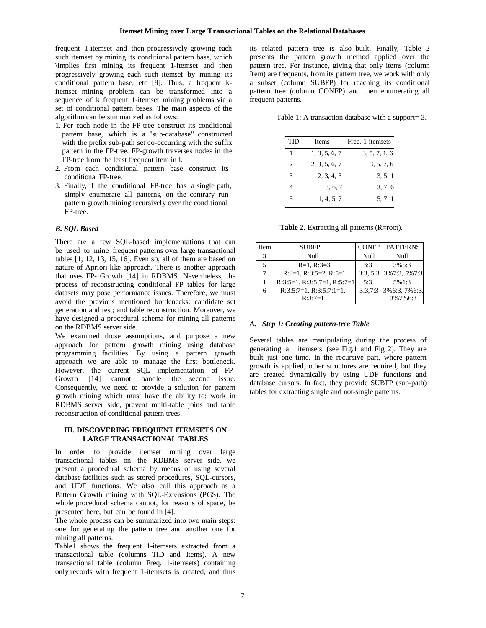frequent 1-itemset and then progressively growing each such itemset by mining its conditional pattern base, which \implies first mining its frequent 1-itemset and then progressively growing each such itemset by mining its conditional pattern base, etc [8]. Thus, a frequent kitemset mining problem can be transformed into a sequence of k frequent 1-itemset mining problems via a set of conditional pattern bases. The main aspects of the algorithm can be summarized as follows:

- 1. For each node in the FP-tree construct its conditional pattern base, which is a "sub-database" constructed with the prefix sub-path set co-occurring with the suffix pattern in the FP-tree. FP-growth traverses nodes in the FP-tree from the least frequent item in I.
- 2. From each conditional pattern base construct its conditional FP-tree.
- 3. Finally, if the conditional FP-tree has a single path, simply enumerate all patterns, on the contrary run pattern growth mining recursively over the conditional FP-tree.

#### *B. SQL Based*

There are a few SQL-based implementations that can be used to mine frequent patterns over large transactional tables  $[1, 12, 13, 15, 16]$ . Even so, all of them are based on nature of Apriori-like approach. There is another approach that uses FP- Growth [14] in RDBMS. Nevertheless, the process of reconstructing conditional FP tables for large datasets may pose performance issues. Therefore, we must avoid the previous mentioned bottlenecks: candidate set generation and test; and table reconstruction. Moreover, we have designed a procedural schema for mining all patterns on the RDBMS server side.

We examined those assumptions, and purpose a new approach for pattern growth mining using database programming facilities. By using a pattern growth approach we are able to manage the first bottleneck. However, the current SQL implementation of FP-Growth [14] cannot handle the second issue. Consequently, we need to provide a solution for pattern growth mining which must have the ability to: work in RDBMS server side, prevent multi-table joins and table reconstruction of conditional pattern trees.

## **III. DISCOVERING FREQUENT ITEMSETS ON LARGE TRANSACTIONAL TABLES**

In order to provide itemset mining over large transactional tables on the RDBMS server side, we present a procedural schema by means of using several database facilities such as stored procedures, SQL-cursors, and UDF functions. We also call this approach as a Pattern Growth mining with SQL-Extensions (PGS). The whole procedural schema cannot, for reasons of space, be presented here, but can be found in [4].

The whole process can be summarized into two main steps: one for generating the pattern tree and another one for mining all patterns.

Table1 shows the frequent 1-itemsets extracted from a transactional table (columns TID and Items). A new transactional table (column Freq. 1-itemsets) containing only records with frequent 1-itemsets is created, and thus

its related pattern tree is also built. Finally, Table 2 presents the pattern growth method applied over the pattern tree. For instance, giving that only items (column Item) are frequents, from its pattern tree, we work with only a subset (column SUBFP) for reaching its conditional pattern tree (column CONFP) and then enumerating all frequent patterns.

Table 1: A transaction database with a support= 3.

| TID                           | <b>Items</b>  | Freq. 1-itemsets |
|-------------------------------|---------------|------------------|
| $\mathbf{1}$                  | 1, 3, 5, 6, 7 | 3, 5, 7, 1, 6    |
| $\mathfrak{D}_{\mathfrak{p}}$ | 2, 3, 5, 6, 7 | 3, 5, 7, 6       |
| 3                             | 1, 2, 3, 4, 5 | 3, 5, 1          |
| 4                             | 3, 6, 7       | 3, 7, 6          |
| 5                             | 1, 4, 5, 7    | 5, 7, 1          |
|                               |               |                  |

|  | Table 2. Extracting all patterns (R=root). |  |  |  |
|--|--------------------------------------------|--|--|--|
|--|--------------------------------------------|--|--|--|

| Item | <b>SUBFP</b>                        | <b>CONFP</b> | <b>PATTERNS</b> |
|------|-------------------------------------|--------------|-----------------|
| 3    | Null                                | Null         | Null            |
|      | $R=1, R:3=3$                        | 3:3          | 3%5:3           |
|      | $R:3=1$ , $R:3:5=2$ , $R:5=1$       | 3:3, 5:3     | 3%7:3, 5%7:3    |
|      | $R:3:5=1$ , $R:3:5:7=1$ , $R:5:7=1$ | 5:3          | 5%1:3           |
| 6    | $R:3:5:7=1$ , $R:3:5:7:1=1$ ,       | 3:3,7:3      | 3%6:3, 7%6:3,   |
|      | $R:3:7=1$                           |              | 3%7%6:3         |

#### *A. Step 1: Creating pattern-tree Table*

Several tables are manipulating during the process of generating all itemsets (see Fig.1 and Fig 2). They are built just one time. In the recursive part, where pattern growth is applied, other structures are required, but they are created dynamically by using UDF functions and database cursors. In fact, they provide SUBFP (sub-path) tables for extracting single and not-single patterns.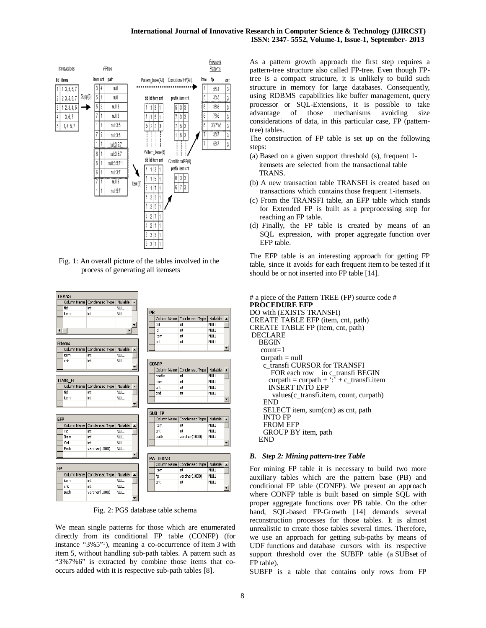## **International Journal of Innovative Research in Computer Science & Technology (IJIRCST) ISSN: 2347- 5552, Volume-1, Issue-1, September- 2013**



Fig. 1: An overall picture of the tables involved in the process of generating all itemsets

| <b>TRANS</b>  |                              |                      |   |
|---------------|------------------------------|----------------------|---|
| Column Name   | Condensed Type   Nullable    |                      |   |
| tid           | int                          | <b>NULL</b>          |   |
| item          | int                          | <b>NULL</b>          |   |
|               |                              |                      |   |
|               |                              |                      |   |
|               |                              | $\ddot{\phantom{1}}$ |   |
|               |                              |                      |   |
| <b>Fitems</b> |                              |                      |   |
| Column Name   | Condensed Type               | Nullable             |   |
| item          | int                          | <b>NULL</b>          |   |
| cnt           | inh                          | <b>NULL</b>          |   |
|               |                              |                      |   |
|               |                              |                      |   |
| Trans Fi      |                              |                      |   |
|               |                              |                      |   |
|               | Column Name Condensed Type   | Nullable             |   |
| tid           | int                          | <b>NULL</b>          |   |
| item          | int                          | <b>NULL</b>          |   |
|               |                              |                      |   |
|               |                              |                      |   |
| <b>EFP</b>    |                              |                      |   |
| Column Name   | Condensed Type   Nullable    |                      |   |
| Tid           | int                          | <b>NULL</b>          |   |
| Item          | int                          | <b>NULL</b>          |   |
| Cnt           | int                          | <b>NULL</b>          |   |
| Path          | varchar(1000)                | <b>NLILL</b>         |   |
|               |                              |                      |   |
|               |                              |                      |   |
|               |                              |                      |   |
| <b>FP</b>     |                              |                      |   |
|               | Column Name   Condensed Type | Nullable             |   |
| item          | int                          | <b>NULL</b>          |   |
| cnt           | int                          | <b>NULL</b>          |   |
| path          | varchar(1000)                | <b>NULL</b>          |   |
|               |                              |                      | ▾ |

Fig. 2: PGS database table schema

We mean single patterns for those which are enumerated directly from its conditional FP table (CONFP) (for instance "3%5" 1 ), meaning a co-occurrence of item 3 with item 5, without handling sub-path tables. A pattern such as "3%7%6" is extracted by combine those items that cooccurs added with it is respective sub-path tables [8].

As a pattern growth approach the first step requires a pattern-tree structure also called FP-tree. Even though FPtree is a compact structure, it is unlikely to build such structure in memory for large databases. Consequently, using RDBMS capabilities like buffer management, query processor or SQL-Extensions, it is possible to take advantage of those mechanisms avoiding size considerations of data, in this particular case, FP (patterntree) tables.

The construction of FP table is set up on the following steps:

- (a) Based on a given support threshold (s), frequent 1 itemsets are selected from the transactional table TRANS.
- (b) A new transaction table TRANSFI is created based on transactions which contains those frequent 1-itemsets.
- (c) From the TRANSFI table, an EFP table which stands for Extended FP is built as a preprocessing step for reaching an FP table.
- (d) Finally, the FP table is created by means of an SQL expression, with proper aggregate function over EFP table.

The EFP table is an interesting approach for getting FP table, since it avoids for each frequent item to be tested if it should be or not inserted into FP table [14].

# a piece of the Pattern TREE (FP) source code # **PROCEDURE EFP** DO with (EXISTS TRANSFI) CREATE TABLE EFP (item, cnt, path) CREATE TABLE FP (item, cnt, path) DECLARE BEGIN count=1  $cuppath = null$ c\_transfi CURSOR for TRANSFI FOR each row in c\_transfi BEGIN  $\text{cuppath} = \text{cuppath} + '$ :' + c\_transfi.item INSERT INTO EFP values(c\_transfi.item, count, curpath) END SELECT item, sum(cnt) as cnt, path INTO FP FROM EFP GROUP BY item, path END

#### *B. Step 2: Mining pattern-tree Table*

For mining FP table it is necessary to build two more auxiliary tables which are the pattern base (PB) and conditional FP table (CONFP). We present an approach where CONFP table is built based on simple SQL with proper aggregate functions over PB table. On the other hand, SQL-based FP-Growth [14] demands several reconstruction processes for those tables. It is almost unrealistic to create those tables several times. Therefore, we use an approach for getting sub-paths by means of UDF functions and database cursors with its respective support threshold over the SUBFP table (a SUBset of FP table).

SUBFP is a table that contains only rows from FP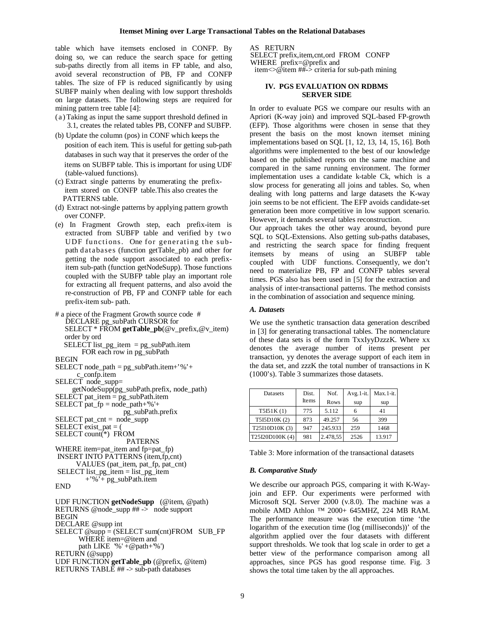table which have itemsets enclosed in CONFP. By doing so, we can reduce the search space for getting sub-paths directly from all items in FP table, and also, avoid several reconstruction of PB, FP and CONFP tables. The size of FP is reduced significantly by using SUBFP mainly when dealing with low support thresholds on large datasets. The following steps are required for mining pattern tree table [4]:

- (a)Taking as input the same support threshold defined in 3.1, creates the related tables PB, CONFP and SUBFP.
- (b) Update the column (pos) in CONF which keeps the position of each item. This is useful for getting sub-path databases in such way that it preserves the order of the items on SUBFP table. This is important for using UDF (table-valued functions).
- (c) Extract single patterns by enumerating the prefix item stored on CONFP table.This also creates the PATTERNS table.
- (d) Extract not-single patterns by applying pattern growth over CONFP.
- (e) In Fragment Growth step, each prefix-item is extracted from SUBFP table and verified by two UDF functions. One for generating the subpath dat abases (function getTable\_pb) and other for getting the node support associated to each prefixitem sub-path (function getNodeSupp). Those functions coupled with the SUBFP table play an important role for extracting all frequent patterns, and also avoid the re-construction of PB, FP and CONFP table for each prefix-item sub- path.

```
# a piece of the Fragment Growth source code # 
  DECLARE pg_subPath CURSOR for
   SELECT * FROM getTable_pb(@v_prefix,@v_item)
   order by ord
  SELECT list_pg_item = pg_subPath.item
        FOR each row in pg_subPath
BEGIN
SELECT node-path = pg\_subPath.items''%'+
       c_confp.item
SELECT node_supp=
    getNodeSupp(pg_subPath.prefix, node_path)
SELECT pat_item = pg_subPath.item
SELECT pat Epp = node path + '%' +
                    pg_subPath.prefix
SELECT pat_cnt = node_supp
SELECT exist_pat = ( 
SELECT count(*) FROM 
                     PATERNS
WHERE item=pat_item and fp=pat_fp)
INSERT INTO PATTERNS (item,fp,cnt) 
       VALUES (pat_item, pat_fp, pat_cnt)
SELECT list_pg_item = list_pg_item+'%'+ pg_subPath.item
END
UDF FUNCTION getNodeSupp (@item, @path)
RETURNS @node_supp ## -> node support
BEGIN
DECLARE @supp int
SELECT @supp=(SELECT sum(cnt)FROM SUB_FP
      WHERE item=@item and
      path LIKE \%' + @path+\%')
RETURN (@supp)
UDF FUNCTION getTable_pb (@prefix, @item)
RETURNS TABLE ## -> sub-path databases
```
AS RETURN

SELECT prefix,item,cnt,ord FROM CONFP WHERE prefix=@prefix and item $\Diamond$ @item ##-> criteria for sub-path mining

## **IV. PGS EVALUATION ON RDBMS SERVER SIDE**

In order to evaluate PGS we compare our results with an Apriori (K-way join) and improved SQL-based FP-growth (EFP). Those algorithms were chosen in sense that they present the basis on the most known itemset mining implementations based on SQL [1, 12, 13, 14, 15, 16]. Both algorithms were implemented to the best of our knowledge based on the published reports on the same machine and compared in the same running environment. The former implementation uses a candidate k-table Ck, which is a slow process for generating all joins and tables. So, when dealing with long patterns and large datasets the K-way join seems to be not efficient. The EFP avoids candidate-set generation been more competitive in low support scenario. However, it demands several tables reconstruction.

Our approach takes the other way around, beyond pure SQL to SQL-Extensions. Also getting sub-paths databases, and restricting the search space for finding frequent itemsets by means of using an SUBFP table coupled with UDF functions. Consequently, we don't need to materialize PB, FP and CONFP tables several times. PGS also has been used in [5] for the extraction and analysis of inter-transactional patterns. The method consists in the combination of association and sequence mining.

## *A. Datasets*

We use the synthetic transaction data generation described in [3] for generating transactional tables. The nomenclature of these data sets is of the form TxxIyyDzzzK. Where xx denotes the average number of items present per transaction, yy denotes the average support of each item in the data set, and zzzK the total number of transactions in K (1000's). Table 3 summarizes those datasets.

| Datasets       | Dist. | Nof.     | $Avg.1-it.$ | Max.1-it. |
|----------------|-------|----------|-------------|-----------|
|                | Items | Rows     | sup         | sup       |
| T5I51K(1)      | 775   | 5.112    |             | 41        |
| T5I5D10K(2)    | 873   | 49.257   | 56          | 399       |
| T25I10D10K(3)  | 947   | 245.933  | 259         | 1468      |
| T25I20D100K(4) | 981   | 2.478.55 | 2526        | 13.917    |

Table 3: More information of the transactional datasets

## *B. Comparative Study*

We describe our approach PGS, comparing it with K-Wayjoin and EFP. Our experiments were performed with Microsoft SQL Server 2000 (v.8.0). The machine was a mobile AMD Athlon ™ 2000+ 645MHZ, 224 MB RAM. The performance measure was the execution time 'the logarithm of the execution time (log (milliseconds))' of the algorithm applied over the four datasets with different support thresholds. We took that log scale in order to get a better view of the performance comparison among all approaches, since PGS has good response time. Fig. 3 shows the total time taken by the all approaches.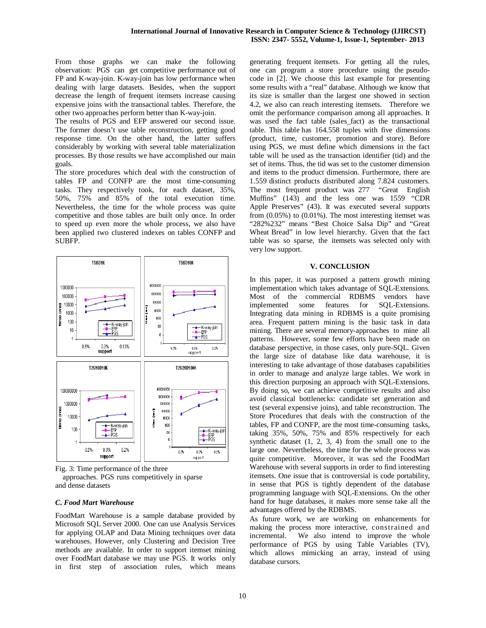From those graphs we can make the following observation: PGS can get competitive performance out of FP and K-way-join. K-way-join has low performance when dealing with large datasets. Besides, when the support decrease the length of frequent itemsets increase causing expensive joins with the transactional tables. Therefore, the other two approaches perform better than K-way-join.

The results of PGS and EFP answered our second issue. The former doesn't use table reconstruction, getting good response time. On the other hand, the latter suffers considerably by working with several table materialization processes. By those results we have accomplished our main goals.

The store procedures which deal with the construction of tables FP and CONFP are the most time-consuming tasks. They respectively took, for each dataset, 35%, 50%, 75% and 85% of the total execution time. Nevertheless, the time for the whole process was quite competitive and those tables are built only once. In order to speed up even more the whole process, we also have been applied two clustered indexes on tables CONFP and SUBFP.



Fig. 3: Time performance of the three

 approaches. PGS runs competitively in sparse and dense datasets

# *C. Food Mart Warehouse*

FoodMart Warehouse is a sample database provided by Microsoft SQL Server 2000. One can use Analysis Services for applying OLAP and Data Mining techniques over data warehouses. However, only Clustering and Decision Tree methods are available. In order to support itemset mining over FoodMart database we may use PGS. It works only in first step of association rules, which means generating frequent itemsets. For getting all the rules, one can program a store procedure using the pseudocode in [2]. We choose this last example for presenting some results with a "real" database. Although we know that its size is smaller than the largest one showed in section 4.2, we also can reach interesting itemsets. Therefore we omit the performance comparison among all approaches. It was used the fact table (sales fact) as the transactional table. This table has 164.558 tuples with five dimensions (product, time, customer, promotion and store). Before using PGS, we must define which dimensions in the fact table will be used as the transaction identifier (tid) and the set of items. Thus, the tid was set to the customer dimension and items to the product dimension. Furthermore, there are 1.559 distinct products distributed along 7.824 customers. The most frequent product was 277 "Great English Muffins" (143) and the less one was 1559 "CDR Apple Preserves" (43). It was executed several supports from (0.05%) to (0.01%). The most interesting itemset was "282%232" means "Best Choice Salsa Dip" and "Great Wheat Bread" in low level hierarchy. Given that the fact table was so sparse, the itemsets was selected only with very low support.

# **V. CONCLUSION**

In this paper, it was purposed a pattern growth mining implementation which takes advantage of SQL-Extensions. Most of the commercial RDBMS vendors have implemented some features for SQL-Extensions. Integrating data mining in RDBMS is a quite promising area. Frequent pattern mining is the basic task in data mining. There are several memory-approaches to mine all patterns. However, some few efforts have been made on database perspective, in those cases, only pure-SQL. Given the large size of database like data warehouse, it is interesting to take advantage of those databases capabilities in order to manage and analyze large tables. We work in this direction purposing an approach with SQL-Extensions. By doing so, we can achieve competitive results and also avoid classical bottlenecks: candidate set generation and test (several expensive joins), and table reconstruction. The Store Procedures that deals with the construction of the tables, FP and CONFP, are the most time-consuming tasks, taking 35%, 50%, 75% and 85% respectively for each synthetic dataset (1, 2, 3, 4) from the small one to the large one. Nevertheless, the time for the whole process was quite competitive. Moreover, it was sed the FoodMart Warehouse with several supports in order to find interesting itemsets. One issue that is controversial is code portability, in sense that PGS is tightly dependent of the database programming language with SQL-Extensions. On the other hand for huge databases, it makes more sense take all the advantages offered by the RDBMS.

As future work, we are working on enhancements for making the process more interactive, constrained and incremental. We also intend to improve the whole performance of PGS by using Table Variables (TV), which allows mimicking an array, instead of using database cursors.